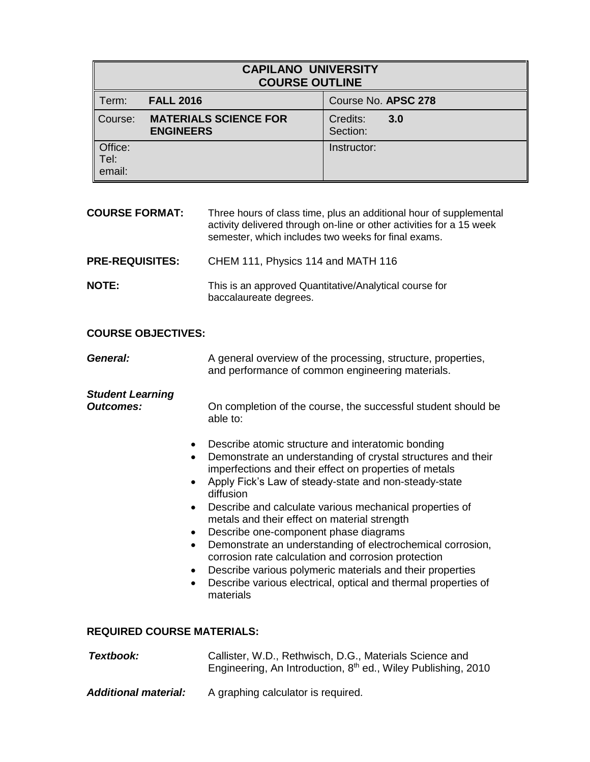| <b>CAPILANO UNIVERSITY</b><br><b>COURSE OUTLINE</b> |                                                  |                             |  |
|-----------------------------------------------------|--------------------------------------------------|-----------------------------|--|
| Term:                                               | <b>FALL 2016</b>                                 | Course No. APSC 278         |  |
| Course:                                             | <b>MATERIALS SCIENCE FOR</b><br><b>ENGINEERS</b> | Credits:<br>3.0<br>Section: |  |
| Office:<br>Tel:<br>email:                           |                                                  | Instructor:                 |  |

| <b>COURSE FORMAT:</b>  | Three hours of class time, plus an additional hour of supplemental<br>activity delivered through on-line or other activities for a 15 week<br>semester, which includes two weeks for final exams. |
|------------------------|---------------------------------------------------------------------------------------------------------------------------------------------------------------------------------------------------|
| <b>PRE-REQUISITES:</b> | CHEM 111, Physics 114 and MATH 116                                                                                                                                                                |
| <b>NOTE:</b>           | This is an approved Quantitative/Analytical course for<br>baccalaureate degrees.                                                                                                                  |

## **COURSE OBJECTIVES:**

| General: | A general overview of the processing, structure, properties, |
|----------|--------------------------------------------------------------|
|          | and performance of common engineering materials.             |

# *Student Learning*

**Outcomes:** On completion of the course, the successful student should be able to:

- Describe atomic structure and interatomic bonding
- Demonstrate an understanding of crystal structures and their imperfections and their effect on properties of metals
- Apply Fick's Law of steady-state and non-steady-state diffusion
- Describe and calculate various mechanical properties of metals and their effect on material strength
- Describe one-component phase diagrams
- Demonstrate an understanding of electrochemical corrosion, corrosion rate calculation and corrosion protection
- Describe various polymeric materials and their properties
- Describe various electrical, optical and thermal properties of materials

### **REQUIRED COURSE MATERIALS:**

| Textbook:                   | Callister, W.D., Rethwisch, D.G., Materials Science and<br>Engineering, An Introduction, 8 <sup>th</sup> ed., Wiley Publishing, 2010 |
|-----------------------------|--------------------------------------------------------------------------------------------------------------------------------------|
| <b>Additional material:</b> | A graphing calculator is required.                                                                                                   |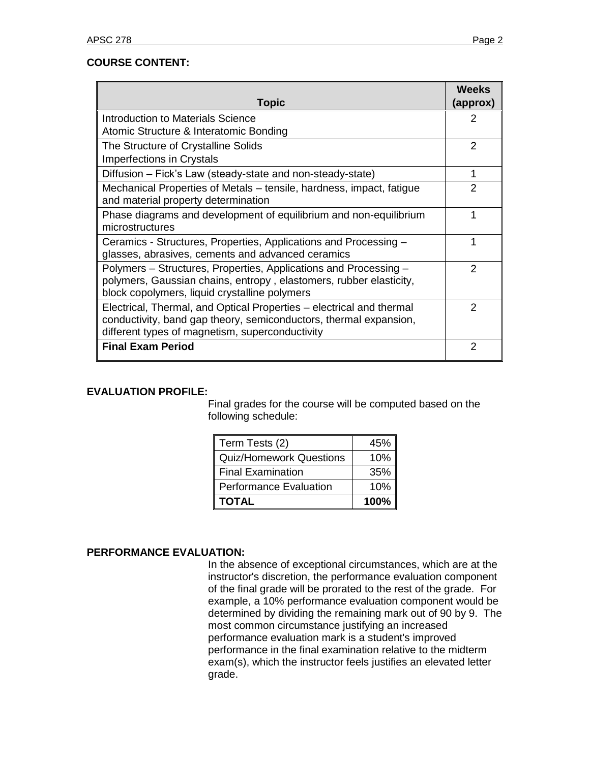| <b>Topic</b>                                                                                                                                                                                 | <b>Weeks</b><br>(approx) |
|----------------------------------------------------------------------------------------------------------------------------------------------------------------------------------------------|--------------------------|
| Introduction to Materials Science                                                                                                                                                            | 2                        |
| Atomic Structure & Interatomic Bonding                                                                                                                                                       |                          |
| The Structure of Crystalline Solids                                                                                                                                                          | $\mathcal{P}$            |
| <b>Imperfections in Crystals</b>                                                                                                                                                             |                          |
| Diffusion – Fick's Law (steady-state and non-steady-state)                                                                                                                                   | 1                        |
| Mechanical Properties of Metals – tensile, hardness, impact, fatigue                                                                                                                         | $\mathcal{P}$            |
| and material property determination                                                                                                                                                          |                          |
| Phase diagrams and development of equilibrium and non-equilibrium                                                                                                                            |                          |
| microstructures                                                                                                                                                                              |                          |
| Ceramics - Structures, Properties, Applications and Processing -<br>glasses, abrasives, cements and advanced ceramics                                                                        |                          |
| Polymers – Structures, Properties, Applications and Processing –<br>polymers, Gaussian chains, entropy, elastomers, rubber elasticity,<br>block copolymers, liquid crystalline polymers      | $\mathcal{P}$            |
| Electrical, Thermal, and Optical Properties – electrical and thermal<br>conductivity, band gap theory, semiconductors, thermal expansion,<br>different types of magnetism, superconductivity | 2                        |
| <b>Final Exam Period</b>                                                                                                                                                                     | $\overline{2}$           |

# **EVALUATION PROFILE:**

Final grades for the course will be computed based on the following schedule:

| Term Tests (2)                 | 45%  |
|--------------------------------|------|
| <b>Quiz/Homework Questions</b> | 10%  |
| <b>Final Examination</b>       | 35%  |
| <b>Performance Evaluation</b>  | 10%  |
| <b>TOTAL</b>                   | 100% |

# **PERFORMANCE EVALUATION:**

In the absence of exceptional circumstances, which are at the instructor's discretion, the performance evaluation component of the final grade will be prorated to the rest of the grade. For example, a 10% performance evaluation component would be determined by dividing the remaining mark out of 90 by 9. The most common circumstance justifying an increased performance evaluation mark is a student's improved performance in the final examination relative to the midterm exam(s), which the instructor feels justifies an elevated letter grade.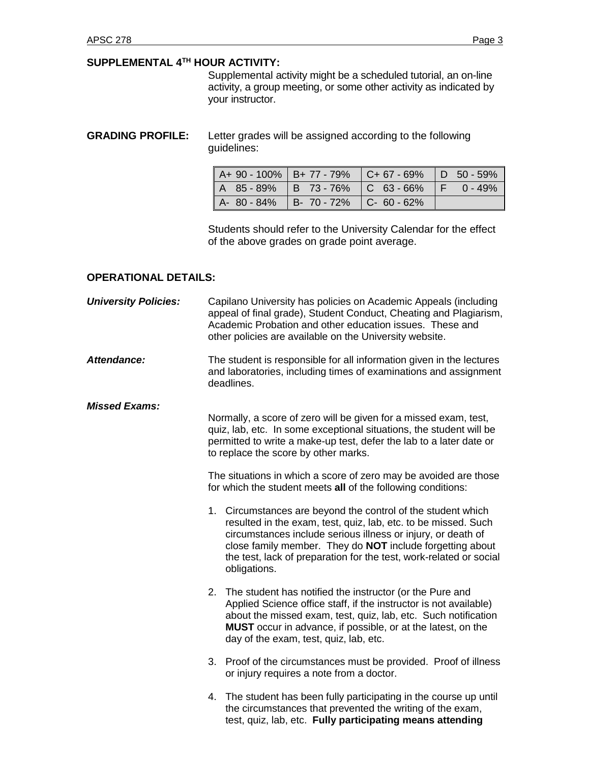#### **SUPPLEMENTAL 4 TH HOUR ACTIVITY:**

Supplemental activity might be a scheduled tutorial, an on-line activity, a group meeting, or some other activity as indicated by your instructor.

**GRADING PROFILE:** Letter grades will be assigned according to the following guidelines:

|                                         |  | $\parallel$ A+ 90 - 100% $\parallel$ B+ 77 - 79% $\parallel$ C+ 67 - 69% $\parallel$ D 50 - 59% |  |
|-----------------------------------------|--|-------------------------------------------------------------------------------------------------|--|
|                                         |  | $A$ 85-89% B 73-76% C 63-66% F 0-49%                                                            |  |
| $A - 80 - 84\%$ B- 70 - 72% C- 60 - 62% |  |                                                                                                 |  |

Students should refer to the University Calendar for the effect of the above grades on grade point average.

## **OPERATIONAL DETAILS:**

| <b>University Policies:</b> |                                                                                                                                                                                                                                                        | Capilano University has policies on Academic Appeals (including<br>appeal of final grade), Student Conduct, Cheating and Plagiarism,<br>Academic Probation and other education issues. These and<br>other policies are available on the University website.                                                                                              |  |  |  |
|-----------------------------|--------------------------------------------------------------------------------------------------------------------------------------------------------------------------------------------------------------------------------------------------------|----------------------------------------------------------------------------------------------------------------------------------------------------------------------------------------------------------------------------------------------------------------------------------------------------------------------------------------------------------|--|--|--|
| Attendance:                 |                                                                                                                                                                                                                                                        | The student is responsible for all information given in the lectures<br>and laboratories, including times of examinations and assignment<br>deadlines.                                                                                                                                                                                                   |  |  |  |
| <b>Missed Exams:</b>        | Normally, a score of zero will be given for a missed exam, test,<br>quiz, lab, etc. In some exceptional situations, the student will be<br>permitted to write a make-up test, defer the lab to a later date or<br>to replace the score by other marks. |                                                                                                                                                                                                                                                                                                                                                          |  |  |  |
|                             | The situations in which a score of zero may be avoided are those<br>for which the student meets all of the following conditions:                                                                                                                       |                                                                                                                                                                                                                                                                                                                                                          |  |  |  |
|                             |                                                                                                                                                                                                                                                        | 1. Circumstances are beyond the control of the student which<br>resulted in the exam, test, quiz, lab, etc. to be missed. Such<br>circumstances include serious illness or injury, or death of<br>close family member. They do <b>NOT</b> include forgetting about<br>the test, lack of preparation for the test, work-related or social<br>obligations. |  |  |  |
|                             |                                                                                                                                                                                                                                                        | 2. The student has notified the instructor (or the Pure and<br>Applied Science office staff, if the instructor is not available)<br>about the missed exam, test, quiz, lab, etc. Such notification<br><b>MUST</b> occur in advance, if possible, or at the latest, on the<br>day of the exam, test, quiz, lab, etc.                                      |  |  |  |
|                             |                                                                                                                                                                                                                                                        | 3. Proof of the circumstances must be provided. Proof of illness<br>or injury requires a note from a doctor.                                                                                                                                                                                                                                             |  |  |  |
|                             |                                                                                                                                                                                                                                                        | 4. The student has been fully participating in the course up until<br>the circumstances that prevented the writing of the exam,<br>test, quiz, lab, etc. Fully participating means attending                                                                                                                                                             |  |  |  |